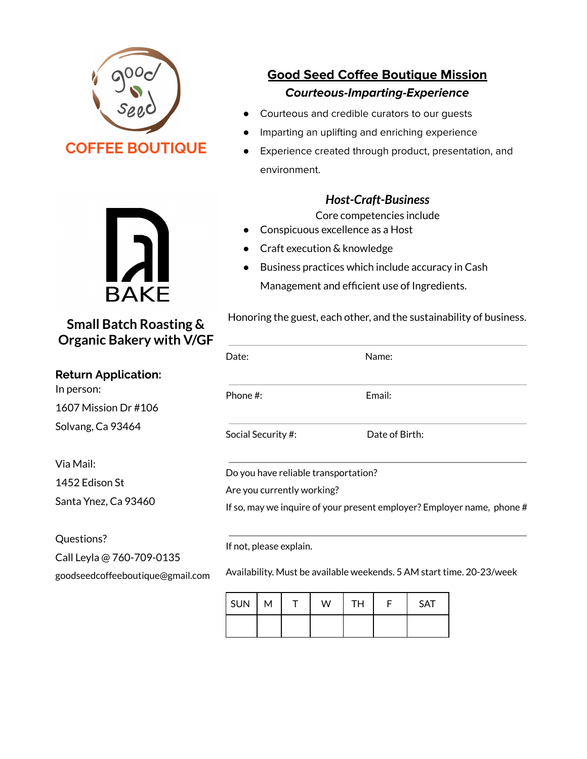



**Small Batch Roasting & Organic Bakery with V/GF**

**Return Application:** In person: 1607 Mission Dr #106 Solvang, Ca 93464

Via Mail: 1452 Edison St Santa Ynez, Ca 93460

Questions? Call Leyla @ 760-709-0135

goodseedcoffeeboutique@gmail.com

# **Good Seed Coffee Boutique Mission Courteous-Imparting-Experience**

- Courteous and credible curators to our guests
- Imparting an uplifting and enriching experience
- Experience created through product, presentation, and environment.

## *Host-Craft-Business*

Core competencies include

- Conspicuous excellence as a Host
- Craft execution & knowledge
- Business practices which include accuracy in Cash Management and efficient use of Ingredients.

Honoring the guest, each other, and the sustainability of business.

| Date:                                | Name:          |
|--------------------------------------|----------------|
| Phone $\#$ :                         | Email:         |
|                                      |                |
| Social Security #:                   | Date of Birth: |
| Do you have reliable transportation? |                |
| Are you currently working?           |                |

Availability. Must be available weekends. 5 AM start time. 20-23/week

| $ $ SUN $ $ M |  | W | <b>TH</b> | <b>SAT</b> |
|---------------|--|---|-----------|------------|
|               |  |   |           |            |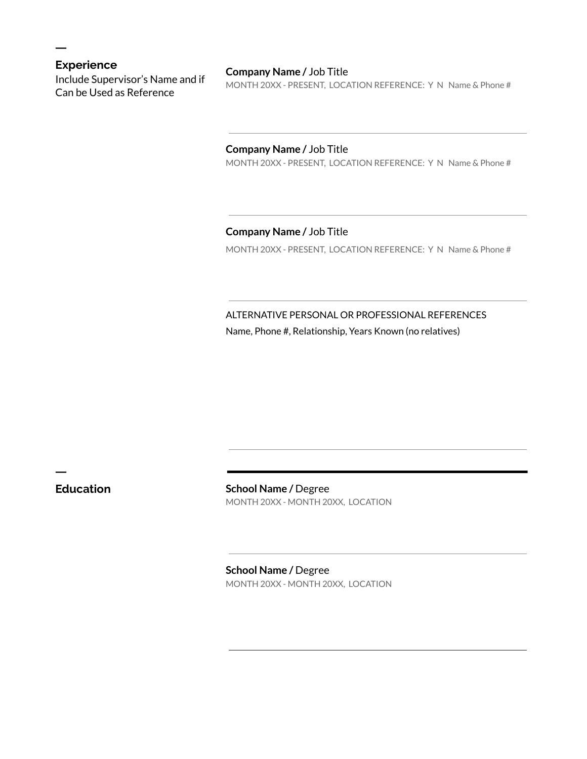## **Experience**

ㅡ

Include Supervisor's Name and if Can be Used as Reference

#### **Company Name /** Job Title

MONTH 20XX - PRESENT, LOCATION REFERENCE: Y N Name & Phone #

#### **Company Name /** Job Title

MONTH 20XX - PRESENT, LOCATION REFERENCE: Y N Name & Phone #

### **Company Name /** Job Title

MONTH 20XX - PRESENT, LOCATION REFERENCE: Y N Name & Phone #

ALTERNATIVE PERSONAL OR PROFESSIONAL REFERENCES Name, Phone #, Relationship, Years Known (no relatives)

ㅡ

**Education School Name /** Degree MONTH 20XX - MONTH 20XX, LOCATION

> **School Name /** Degree MONTH 20XX - MONTH 20XX, LOCATION